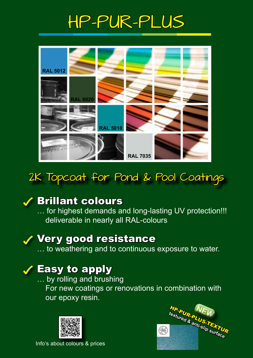# HP-PUR-PLUS



# 2K Topcoat for Pond & Pool Coatings



### Brillant colours

… for highest demands and long-lasting UV protection!!! deliverable in nearly all RAL-colours

# Very good resistance

… to weathering and to continuous exposure to water.

### Easy to apply

… by rolling and brushing

 For new coatings or renovations in combination with our epoxy resin.





Info's about colours & prices